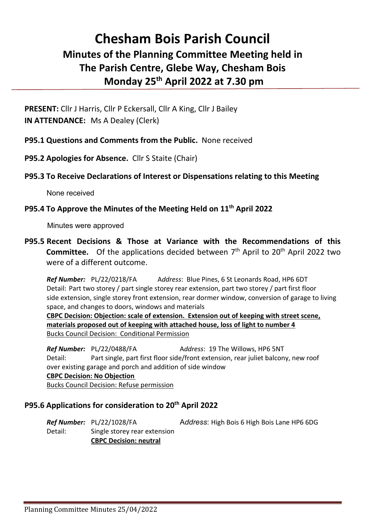## **Chesham Bois Parish Council Minutes of the Planning Committee Meeting held in The Parish Centre, Glebe Way, Chesham Bois Monday 25th April 2022 at 7.30 pm**

**PRESENT:** Cllr J Harris, Cllr P Eckersall, Cllr A King, Cllr J Bailey **IN ATTENDANCE:** Ms A Dealey (Clerk)

**P95.1 Questions and Comments from the Public.** None received

**P95.2 Apologies for Absence.** Cllr S Staite (Chair)

## **P95.3 To Receive Declarations of Interest or Dispensations relating to this Meeting**

None received

## **P95.4 To Approve the Minutes of the Meeting Held on 11th April 2022**

Minutes were approved

**P95.5 Recent Decisions & Those at Variance with the Recommendations of this Committee.** Of the applications decided between 7<sup>th</sup> April to 20<sup>th</sup> April 2022 two were of a different outcome.

*Ref Number:* PL/22/0218/FA A*ddress*: Blue Pines, 6 St Leonards Road, HP6 6DT Detail: Part two storey / part single storey rear extension, part two storey / part first floor side extension, single storey front extension, rear dormer window, conversion of garage to living space, and changes to doors, windows and materials

**CBPC Decision: Objection: scale of extension. Extension out of keeping with street scene, materials proposed out of keeping with attached house, loss of light to number 4** Bucks Council Decision: Conditional Permission

*Ref Number:* PL/22/0488/FA Address: 19 The Willows, HP6 5NT Detail: Part single, part first floor side/front extension, rear juliet balcony, new roof over existing garage and porch and addition of side window **CBPC Decision: No Objection**

Bucks Council Decision: Refuse permission

## **P95.6 Applications for consideration to 20th April 2022**

*Ref Number:* PL/22/1028/FA A*ddress*: High Bois 6 High Bois Lane HP6 6DG Detail: Single storey rear extension **CBPC Decision: neutral**